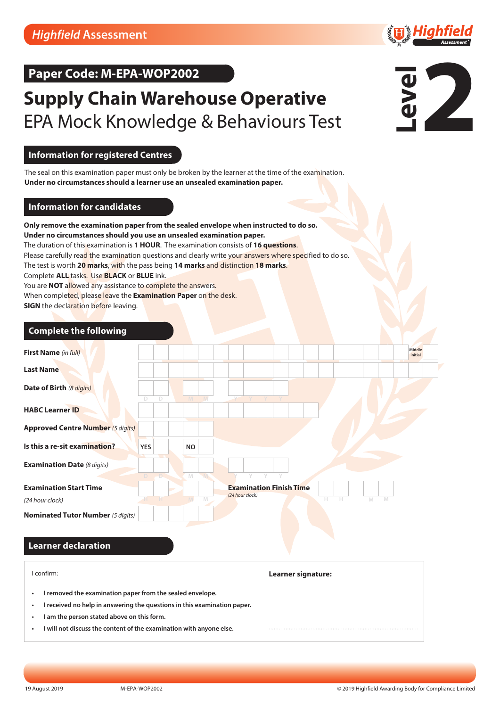### **Paper Code: M-EPA-WOP2002**

# EPA Mock Knowledge & Behaviours Test **Supply Chain Warehouse Operative**

### **Information for registered Centres**

The seal on this examination paper must only be broken by the learner at the time of the examination. **Under no circumstances should a learner use an unsealed examination paper.**

### **Information for candidates**

#### **Only remove the examination paper from the sealed envelope when instructed to do so. Under no circumstances should you use an unsealed examination paper.** The duration of this examination is **1 HOUR**. The examination consists of **16 questions**. Please carefully read the examination questions and clearly write your answers where specified to do so. The test is worth **20 marks**, with the pass being **14 marks** and distinction **18 marks**. Complete **ALL** tasks. Use **BLACK** or **BLUE** ink. You are **NOT** allowed any assistance to complete the answers. When completed, please leave the **Examination Paper** on the desk. **SIGN** the declaration before leaving.

### **Complete the following**

| <b>First Name</b> (in full)              |            |   |           |   |                 |   |   |                                |  |        |   |   | Middle<br>initial |
|------------------------------------------|------------|---|-----------|---|-----------------|---|---|--------------------------------|--|--------|---|---|-------------------|
| <b>Last Name</b>                         |            |   |           |   |                 |   |   |                                |  |        |   |   |                   |
| Date of Birth (8 digits)                 |            |   |           |   |                 |   |   |                                |  |        |   |   |                   |
|                                          | D          | D | M.        |   |                 |   | V |                                |  |        |   |   |                   |
| <b>HABC Learner ID</b>                   |            |   |           |   |                 |   |   |                                |  |        |   |   |                   |
| <b>Approved Centre Number (5 digits)</b> |            |   |           |   |                 |   |   |                                |  |        |   |   |                   |
| Is this a re-sit examination?            | <b>YES</b> |   | <b>NO</b> |   |                 |   |   |                                |  |        |   |   |                   |
| <b>Examination Date (8 digits)</b>       |            |   |           |   |                 |   |   |                                |  |        |   |   |                   |
|                                          | D.         | D | M         | M |                 | v | v |                                |  |        |   |   |                   |
| <b>Examination Start Time</b>            |            |   |           |   | (24 hour clock) |   |   | <b>Examination Finish Time</b> |  |        |   |   |                   |
| (24 hour clock)                          |            | H | M         | M |                 |   |   |                                |  | H<br>Н | M | M |                   |
| <b>Nominated Tutor Number (5 digits)</b> |            |   |           |   |                 |   |   |                                |  |        |   |   |                   |
|                                          |            |   |           |   |                 |   |   |                                |  |        |   |   |                   |

#### **Learner declaration**

| l confirm:                                                                                                                                                                                                                                                 | Learner signature: |
|------------------------------------------------------------------------------------------------------------------------------------------------------------------------------------------------------------------------------------------------------------|--------------------|
| I removed the examination paper from the sealed envelope.<br>I received no help in answering the questions in this examination paper.<br>I am the person stated above on this form.<br>I will not discuss the content of the examination with anyone else. |                    |



**Level**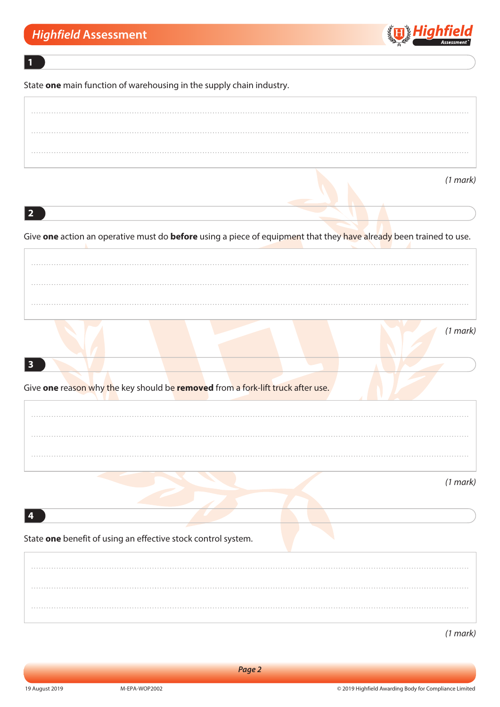

#### **1**

State **one** main function of warehousing in the supply chain industry.

*(1 mark)*

#### **2**

Give **one** action an operative must do **before** using a piece of equipment that they have already been trained to use.

**3**

Give **one** reason why the key should be **removed** from a fork-lift truck after use.

**4**

State **one** benefit of using an effective stock control system.

*(1 mark)*

*(1 mark)*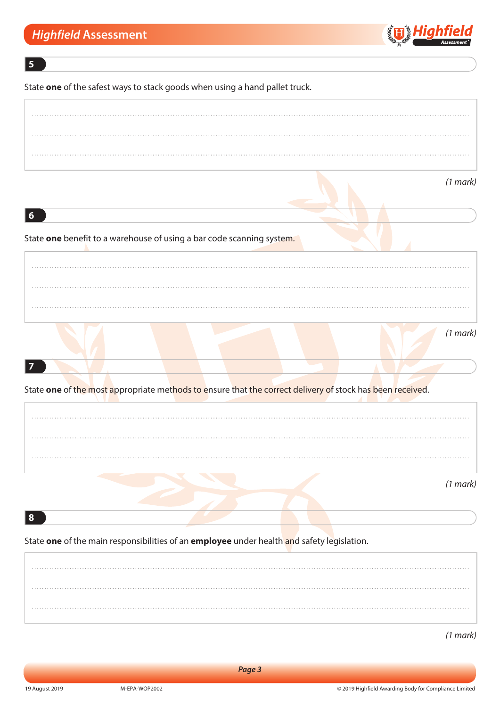

*(1 mark)*

#### **5**

State **one** of the safest ways to stack goods when using a hand pallet truck.

#### **6**

State **one** benefit to a warehouse of using a bar code scanning system.

 *(1 mark)*

**7**

State **one** of the most appropriate methods to ensure that the correct delivery of stock has been received.

 *(1 mark)*

**8**

State **one** of the main responsibilities of an **employee** under health and safety legislation.

 *(1 mark)*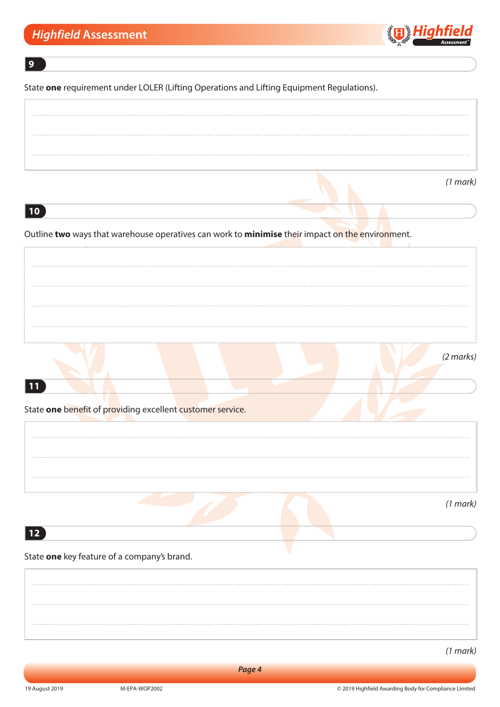

*(1 mark)*

#### **9**

State **one** requirement under LOLER (Lifting Operations and Lifting Equipment Regulations).

#### **10**

Outline **two** ways that warehouse operatives can work to **minimise** their impact on the environment.

#### **11**

State **one** benefit of providing excellent customer service.

#### *(1 mark)*

 *(2 marks)*

#### **12**

State **one** key feature of a company's brand.

#### *(1 mark)*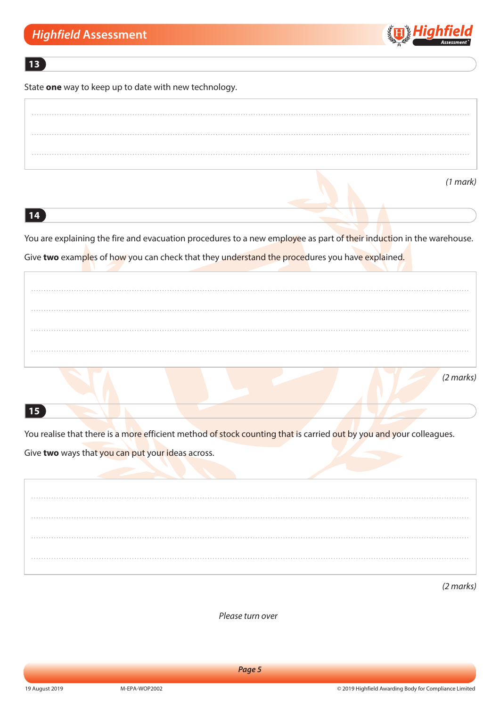

#### **13**

State **one** way to keep up to date with new technology.

#### **14**

You are explaining the fire and evacuation procedures to a new employee as part of their induction in the warehouse.

Give **two** examples of how you can check that they understand the procedures you have explained.

| . |
|---|
|   |

 *(2 marks)*

 *(1 mark)*

#### **15**

You realise that there is a more efficient method of stock counting that is carried out by you and your colleagues. Give **two** ways that you can put your ideas across.

 *(2 marks)*

*Please turn ove*r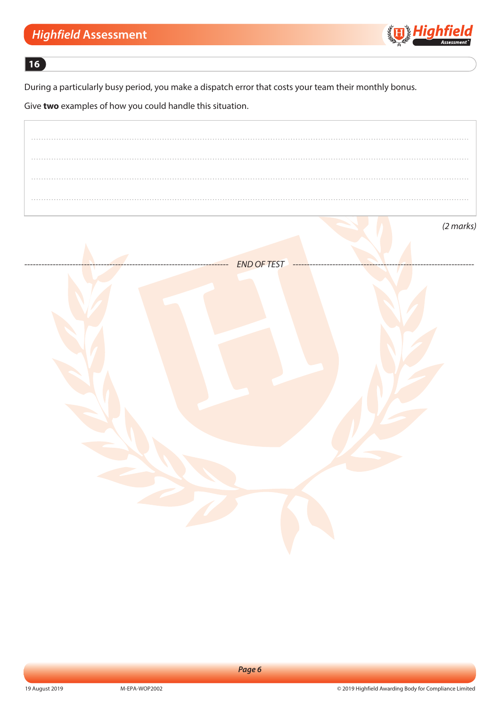

### **16**

During a particularly busy period, you make a dispatch error that costs your team their monthly bonus.

Give **two** examples of how you could handle this situation.

 *(2 marks) ------------------------------------------------------------------------ END OF TEST ----------------------------------------------------------------*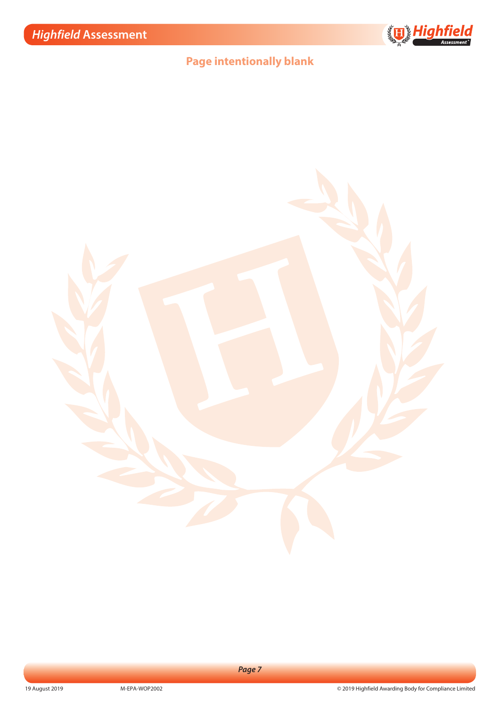

### **Page intentionally blank**